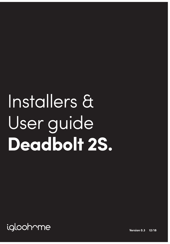# Installers & User guide **Deadbolt 2S.**

igloohome

**1 Version 0.3**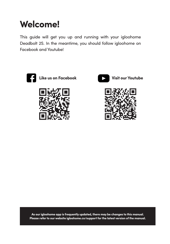# **Welcome!**

This guide will get you up and running with your igloohome Deadbolt 2S. In the meantime, you should follow igloohome on Facebook and Youtube!



**Like us on Facebook Visit our Youtube**







**As our igloohome app is frequently updated, there may be changes to this manual. Please refer to our website igloohome.co/support for the latest version of the manual.**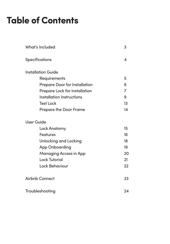# **Table of Contents**

| What's Included                      |                |
|--------------------------------------|----------------|
| <b>Specifications</b>                | 4              |
| <b>Installation Guide</b>            |                |
| Requirements                         | 5              |
| <b>Prepare Door for Installation</b> | 6              |
| Prepare Lock for Installation        | $\overline{7}$ |
| Installation Instructions            | 9              |
| <b>Test Lock</b>                     | 13             |
| <b>Prepare the Door Frame</b>        | 14             |
| User Guide                           |                |
| Lock Anatomy                         | 15             |
| <b>Features</b>                      | 16             |
| Unlocking and Locking                | 18             |
| <b>App Onboarding</b>                | 19             |
| <b>Managing Access in App</b>        | 20             |
| <b>Lock Tutorial</b>                 | 21             |
| Lock Behaviour                       | 22             |
| <b>Airbnb Connect</b>                | 23             |
| Troubleshooting                      | 24             |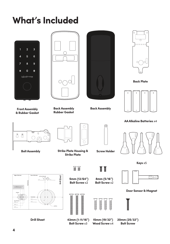# **What's Included**



**Front Assembly & Rubber Gasket**



**Back Assembly Rubber Gasket**



**Back Assembly**



**Back Plate**



**AA Alkaline Batteries** x4



**Bolt Assembly**



**Strike Plate Housing & Strike Plate** 





**Keys** x5

**Door Sensor & Magnet**

**HooF** 

Drill Sheet **Drill Sheet** Version 0.2 03/18**10mm (Optional) Fold this line**  60mm (2-3/8") backset 70mm (2-3/4") backset **Centerline**



**5mm (13/64") Bolt Screw** x2

T

**Bolt Screw** x3

**Drill Sheet 43mm (1-11/16")**



**Bolt Screw** x2





**15mm (19/32") Wood Screw** x4



**20mm (25/32")**

**Bolt Screw**

**Edge of the door Face of the door**

**Door Thickness** 35mm (1-3/8") Drill for: 45mm (1-3/4") Drill for:

**25mm**



**4**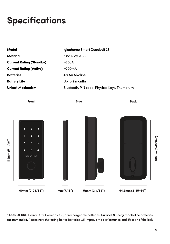# **Specifications**

| Model                           | igloohome Smart Deadbolt 2S                   |  |
|---------------------------------|-----------------------------------------------|--|
| Material                        | Zinc Alloy, ABS                               |  |
| <b>Current Rating (Standby)</b> | $\sim$ 30uA                                   |  |
| <b>Current Rating (Active)</b>  | $\sim$ 200 $\text{mA}$                        |  |
| <b>Batteries</b>                | 4 x AA Alkaline                               |  |
| <b>Battery Life</b>             | Up to 9 months                                |  |
| <b>Unlock Mechanism</b>         | Bluetooth, PIN code, Physical Keys, Thumbturn |  |
|                                 |                                               |  |



\* **DO NOT USE:** Heavy Duty, Eveready, GP, or rechargeable batteries. Duracell & Energizer alkaline batteries recommended. Please note that using better batteries will improve the performance and lifespan of the lock.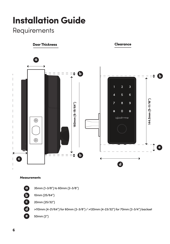# **Installation Guide** Requirements



#### **Measurements**



10mm (25/64")

20mm (25/32") **c**



>110mm (4-21/64") for 60mm (2-3/8") / >120mm (4-23/32") for 70mm (2-3/4") backset

50mm (2") **e**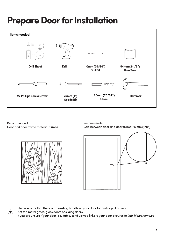# **Prepare Door for Installation**



Recommended

Recommended Door and door frame material : **Wood**

 $\sqrt{N}$ 





Please ensure that there is an existing handle on your door for push - pull access.

Not for: metal gates, glass doors or sliding doors.

If you are unsure if your door is suitable, send us web links to your door pictures to *info@igloohome.co*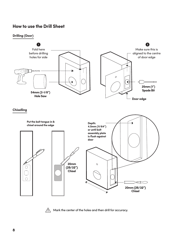### **How to use the Drill Sheet**



 $\bigwedge$  Mark the center of the holes and then drill for accuracy.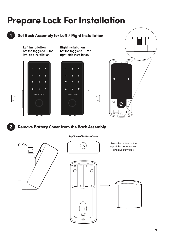# **Prepare Lock For Installation**



**Remove Battery Cover from the Back Assembly**



 $\overline{2}$ 

**Top View of Battery Cover**

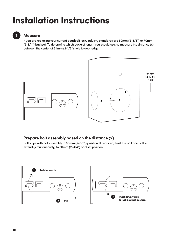# **Installation Instructions**

### **Measure**

If you are replacing your current deadbolt lock, industry standards are 60mm (2-3/8") or 70mm  $(2-3/4")$  backset. To determine which backset length you should use, so measure the distance  $(x)$ between the center of 54mm (2-1/8") hole to door edge.



### **Prepare bolt assembly based on the distance (x)**

Bolt ships with bolt assembly in 60mm (2-3/8") position. If required, twist the bolt and pull to extend (simultaneously) to 70mm (2-3/4") backset position.

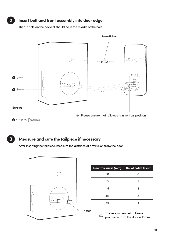### **Insert bolt and front assembly into door edge**

The '+ ' hole on the backset should be in the middle of the hole.





 $2<sup>1</sup>$ 

### **Measure and cute the tailpiece if necessary**

After inserting the tailpiece, measure the distance of protrusion from the door.

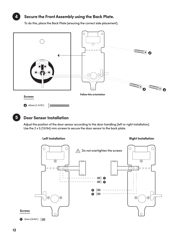### **Secure the Front Assembly using the Back Plate.**

To do this, place the Back Plate (ensuring the correct side placement).



#### **Door Sensor Installation 5**

Adjust the position of the door sensor according to the door handling (left or right installation). Use the 2 x 5 (13/64) mm screws to secure the door sensor to the back plate.



 $\overline{\mathbf{4}}$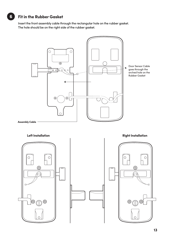### **Fit in the Rubber Gasket**

**6**

Insert the front assembly cable through the rectangular hole on the rubber gasket. The hole should be on the right side of the rubber gasket.

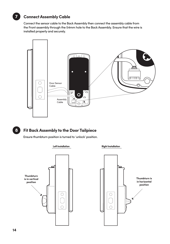### **Connect Assembly Cable**

Connect the sensor cable to the Back Assembly then connect the assembly cable from the Front assembly through the 54mm hole to the Back Assembly. Ensure that the wire is installed properly and securely.





**7**

### **Fit Back Assembly to the Door Tailpiece**

Ensure thumbturn position is turned to 'unlock' position.





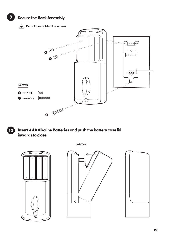#### **Secure the Back Assembly 9**



#### **Insert 4 AA Alkaline Batteries and push the battery case lid inwards to close 10**



**Side View**

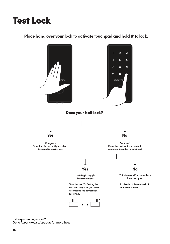# Test Lock

**Place hand over your lock to activate touchpad and hold # to lock.**



Still experiencing issues? Go to *igloohome.co/support* for more help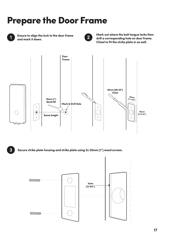# Prepare the Door Frame



**Ensure to align the lock to the door frame and mark it down.**



**Mark out where the bolt tongue locks then drill a corresponding hole on door frame. Chisel to fit the strike plate in as well.**



3 **Secure strike plate housing and strike plate using 2x 25mm (1") wood screws.**

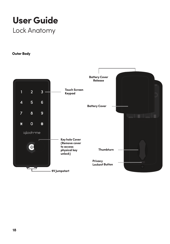# **User Guide** Lock Anatomy

### **Outer Body**

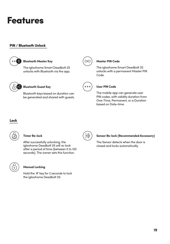# Features

### **PIN / Bluetooth Unlock**



### **Bluetooth Master Key**

The igloohome Smart Deadbolt 2S unlocks with Bluetooth via the app.



### **Bluetooth Guest Key**

Bluetooth keys based on duration can be generated and shared with guests.



### **Master PIN Code**

The igloohome Smart Deadbolt 2S unlocks with a permanent Master PIN Code.



### **User PIN Code**

The mobile app can generate user PIN codes, with validity duration from One-Time, Permanent, or a Duration based on Date-time.

### **Lock**



#### **Timer Re-lock**

After successfully unlocking, the igloohome Deadbolt 2S will re-lock after a period of time (between 5 to 120 seconds). The owner sets this function.



### **Manual Locking**

Hold the '#' key for 2 seconds to lock the igloohome Deadbolt 2S.



#### **Sensor Re-lock (Recommended Accessory)**

The Sensor detects when the door is closed and locks automatically.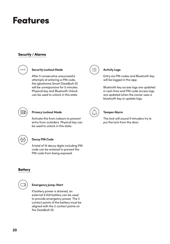# Features

### **Security / Alarms**



### **Security Lockout Mode**

After 5 consecutive unsuccessful attempts at entering a PIN code, the igloohome Smart Deadbolt 2S will be unresponsive for 5 minutes. Physical key and Bluetooth Unlock can be used to unlock in this state.



### **Privacy Lockout Mode**

Activate this from indoors to prevent entry from outsiders. Physical key can be used to unlock in this state.



#### **Decoy PIN Code**

A total of 16 decoy digits including PIN code can be entered to prevent the PIN code from being exposed.

### **Battery**



#### **Emergency Jump-Start**

If battery power is drained, an external 9 Volt battery can be used to provide emergency power. The 2 contact points of the battery must be aligned with the 2 contact points on the Deadbolt 2S.



### **Activity Logs**

Entry via PIN codes and Bluetooth Key will be logged in the app.

Bluetooth key access logs are updated in real-time and PIN code access logs are updated when the owner uses a bluetooth key or update logs.



### **Tamper Alarm**

The lock will sound if intruders try to pry the lock from the door.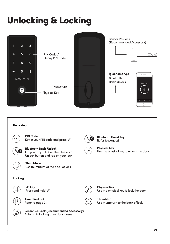# Unlocking & Locking



**Timer Re-Lock** Refer to page 24

**Sensor Re-Lock (Recommended Accessory)** Automatic locking after door closes

**Thumbturn** Use thumbturn at the back of lock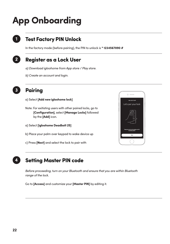# **App Onboarding**



# **Test Factory PIN Unlock**

In the factory mode (before pairing), the PIN to unlock is **\* 1234567890 #**

# **2 Register as a Lock User**

- *a) Download igloohome from App store / Play store.*
- *b) Create an account and login.*



## **3 Pairing**

- a) Select **[Add new igloohome lock]**
- Note: For exitisting users with other paired locks, go to **[Configuration]**, select **[Manage Locks]** followed by the **[Add]** icon.
- a) Select **[igloohome Deadbolt 2S]**
- b) Place your palm over keypad to wake device up
- c) Press **[Next]** and select the lock to pair with



## **4 Setting Master PIN code**

*Before proceeding, turn on your Bluetooth and ensure that you are within Bluetooth range of the lock.* 

Go to **[Access]** and customize your **[Master PIN]** by editing it.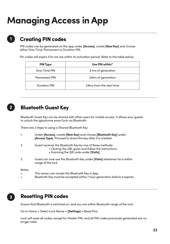# **Managing Access in App**

# **Creating PIN codes**

PIN codes can be generated on the app under **[Access]**, create **[New Key]** and choose either One-Time, Permanent or Duration PIN.

Pin codes will expire if its not use within its activation period. Refer to the table below.

| <b>PIN Type</b> | Use PIN within*           |
|-----------------|---------------------------|
| One-Time PIN    | 6 hrs of generation       |
| Permanent PIN   | 24hrs of generation       |
| Duration PIN    | 24hrs from the start time |

## **2 Bluetooth Guest Key**

Bluetooth Guest Key can be shared with other users for mobile access. It allows your guests to unlock the igloohome smart lock via Bluetooth.

There are 3 steps to using a Shared Bluetooth Key

- 1. Under **[Access]**, create **[New Key]** and choose **[Bluetooth Key]** under **[Access Type]**. Proceed to share the key after it is created.
- 2. Guest receives the Bluetooth Key by one of these methods:
	- Clicking the URL given and follow the instructions.
	- Scanning the QR code under **[Visits]**.
- 3. Guest can now use the Bluetooth Key under **[Visits]** whenever he is within range of the lock.

Notes:

- The owner can revoke the Bluetooth Key in App.
- Bluetooth Key must be accepted within 1 hour generation before it expires.

### **3 Resetting PIN codes**

Ensure that Bluetooth is switched on, and you are within Bluetooth range of the lock.

Go to Home > Select Lock Name > **[Settings]** > Reset Pins

Lock will reset all codes, except for Master PIN, and all PIN codes previously generated are no longer valid.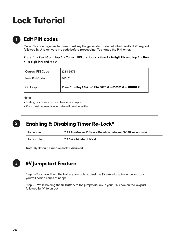# **Lock Tutorial**



# **Edit PIN codes**

Once PIN code is generated, user must key the generated code onto the Deadbolt 2S keypad followed by # to activate the code before proceeding. To change the PIN, enter:

Press \* > **Key 1 0** and tap # > Current PIN and tap # > **New 4 - 9 digit PIN** and tap # > **New 4 - 9 digit PIN** and tap #

| Current PIN Code | 1234 5678                                               |
|------------------|---------------------------------------------------------|
| New PIN Code     | 010101                                                  |
| On Keypad        | Press * > Key 1 0 # > 1234 5678 # > 010101 # > 010101 # |

Notes:

- Editing of codes can also be done in app
- PINs must be used once before it can be edited.



### **Enabling & Disabling Timer Re-Lock\***

| To Fnable  | * 21 # <master pin=""> # <duration 5-120="" between="" seconds=""> #</duration></master> |
|------------|------------------------------------------------------------------------------------------|
| To Disable | $*$ 2 0 # <master pin=""> #</master>                                                     |

Note: By default, Timer Re-lock is disabled.



## **9V Jumpstart Feature**

Step 1 - Touch and hold the battery contacts against the 9V jumpstart pin on the lock and you will hear a series of beeps

Step 2 - While holding the 9V battery to the jumpstart, key in your PIN code on the keypad followed by '#' to unlock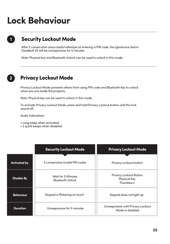# **Lock Behaviour**

# **Security Lockout Mode**

After 5 consecutive unsuccessful attempts at entering a PIN code, the igloohome Samrt Deadbolt 2S will be unresponsive for 5 minutes.

Note: Physical key and Bluetooth Unlock can be used to unlock in this mode.

## **2**

 $\mathbf 1$ 

## **Privacy Lockout Mode**

Privacy Lockout Mode prevents others from using PIN code and Bluetooth Key to unlock when you are inside the property.

Note: Physical key can be used to unlock in this mode.

To activate Privacy Lockout Mode, press and hold Privacy Lockout button until the lock sound off.

Audio Indications:

- Long beep when activated.
- 2 quick beeps when disabled.

|                     | <b>Security Lockout Mode</b>           | <b>Privacy Lockout Mode</b>                                |
|---------------------|----------------------------------------|------------------------------------------------------------|
| <b>Activated by</b> | 5 consecutive invalid PIN codes        | Privacy Lockout button                                     |
| <b>Disable By</b>   | Wait for 5 Minutes<br>Bluetooth Unlock | Privacy Lockout Button<br><b>Physical Key</b><br>Thumbturn |
| <b>Behaviour</b>    | Keypad is flickering on touch          | Keypad does not light up                                   |
| <b>Duration</b>     | Unresponsive for 5 minutes             | Unresponsive until Privacy Lockout<br>Mode is disabled     |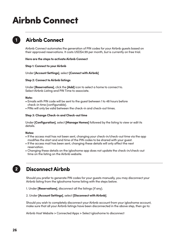# Airbnb Connect

# **87 Airbnb Connect**

Airbnb Connect automates the generation of PIN codes for your Airbnb guests based on their approved reservations. It costs USD\$4.99 per month, but is currently on free trial.

#### **Here are the steps to activate Airbnb Connect**

#### **Step 1: Connect to your Airbnb**

Under **[Account Settings]**, select **[Connect with Airbnb]**

#### **Step 2: Connect to Airbnb listings**

Under **[Reservations]**, click the **[Add]** icon to select a home to connect to. Select Airbnb Listing and PIN Time to associate.

#### **Note:**

- Emails with PIN code will be sent to the guest between 1 to 48 hours before check-in time (configurable).
- PINs will only be valid between the check-in and check-out times.

#### **Step 3: Change Check-in and Check-out time**

Under **[Configuration]**, select **[Manage Homes]** followed by the listing to view or edit its details.

#### **Notes:**

- If the access mail has not been sent, changing your check-in/check-out time via the app modifies the start and end time of the PIN codes to be shared with your guest.
- If the access mail has been sent, changing these details will only affect the next reservation.
- Changing these details on the igloohome app does not update the check-in/check-out time on the listing on the Airbnb website.



### **2 Disconnect Airbnb**

Should you prefer to generate PIN codes for your guests manually, you may disconnect your Airbnb listing from the igloohome home listing with the steps below.

1. Under **[Reservations]**, disconnect all the listings (if any).

#### 2. Under **[Account Settings]**, select **[Disconnect with Airbnb]**.

Should you wish to completely disconnect your Airbnb account from your igloohome account, make sure that all your Airbnb listings have been disconnected in the above step, then go to:

Airbnb Host Website > Connected Apps > Select igloohome to disconnect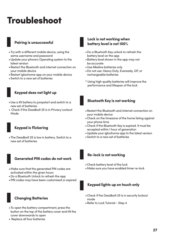# Troubleshoot

### **Pairing is unsuccessful**

- •Try with a different mobile device, using the same username and password
- •Update your phone's Operating system to the latest version
- •Restart the Bluetooth and internet connection on your mobile device
- •Restart igloohome app on your mobile device
- •Switch to a new set of batteries

### **Keypad does not light up**

- •Use a 9V battery to jumpstart and switch to a new set of batteries
- Check if the Deadbolt 2S is in Privacy Lockout Mode

### **Keypad is flickering**

•The Deadbolt 2S is low in battery. Switch to a new set of batteries

### **Generated PIN codes do not work**

- •Make sure that the generated PIN codes are activated within the given hours
- •Do a Bluetooth Unlock to refresh the app
- •PIN codes may have been customised or expired

### **Changing Batteries**

- •To open the battery compartment, press the button on the top of the battery cover and tilt the cover downwards to open
- Replace all four batteries

### **Lock is not working when battery level is not 100%**

- •Do a Bluetooth Key unlock to refresh the battery level on the app
- •Battery level shown in the app may not be accurate
- •Use Alkaline batteries only
- •Do not use: Heavy Duty, Eveready, GP, or rechargeable batteries
- \* Using high quality batteries will improve the performance and lifespan of the lock

### **Bluetooth Key is not working**

- •Restart the Bluetooth and internet connection on your mobile device
- •Check on the timezone of the home listing against your phone time
- •Check if the Bluetooth Key is expired. It must be accepted within 1 hour of generation
- •Update your igloohome app to the latest version
- •Switch to a new set of batteries

### **Re-lock is not working**

- •Check battery level of the lock
- •Make sure you have enabled timer re-lock

### **Keypad lights up on touch only**

- •Check if the Deadbolt 2S is in security lockout mode
- •Refer to Lock Tutorial Step 4